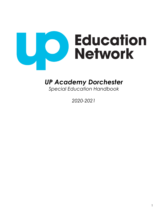

# *UP Academy Dorchester*

*Special Education Handbook* 

*2020-2021*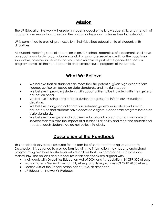# **Mission**

The UP Education Network will ensure its students acquire the knowledge, skills, and strength of character necessary to succeed on the path to college and achieve their full potential.

UP is committed to providing an excellent, individualized education to all students with disabilities.

All students receiving special education in any UP school, regardless of placement, shall have an equal opportunity to participate in and, if appropriate, receive credit for the vocational, supportive, or remedial services that may be available as part of the general education program as well as the non-academic and extracurricular programs of the school.

# **What We Believe**

- We believe that all students can meet their full potential given high expectations, rigorous curriculum based on state standards, and the right support.
- We believe in providing students with opportunities to be included with their general education peers.
- We believe in using data to track student progress and inform our instructional decisions.
- We believe in ongoing collaboration between general educators and special educators, so that students have access to a rigorous academic program based on state standards.
- We believe in designing individualized educational programs on a continuum of services that minimize the impact of a student's disability and meet the educational needs of each student. We do not believe in labels.

# **Description of the Handbook**

This handbook serves as a resource for the families of students attending UP Academy Dorchester. It is designed to provide families with the information they need to understand programming available for students with disabilities that is in compliance with state and federal law. The policies and procedures in this handbook are aligned with:

- Individuals with Disabilities Education Act of 2004 and its regulations 34 CFR 300 et seq.
- Massachusetts General Laws ch. 71, et seq. and its regulations 603 CMR 28.00 et seq.
- Section 504 of the Rehabilitation Act of 1973, as amended
- UP Education Network's Protocols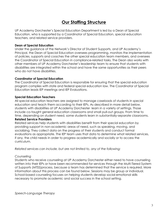# **Our Staffing Structure**

UP Academy Dorchester's Special Education Department is led by a Dean of Special Education, who is supported by a Coordinator of Special Education, special education teachers, and related service providers.

### **Dean of Special Education**

Under the guidance of the Network's Director of Student Supports, and UP Academy's Principal, the Dean of Special Education oversees programming, monitors the implementation of policies, supports and coaches the other special education team members, and oversees the Coordinator of Special Education in compliance-related tasks. The Dean also works with other members of UP Academy Dorchester's leadership team to ensure that students with disabilities are integrated within the school and have the same opportunities as their peers who do not have disabilities.

# **Coordinator of Special Education**

The Coordinator of Special Education is responsible for ensuring that the special education program complies with state and federal special education law. The Coordinator of Special Education leads IEP meetings and IEP Evaluations.

# **Special Education Teachers**

All special education teachers are assigned to manage caseloads of students in special education and teach them according to their IEPs. As described in more detail below, students with disabilities at UP Academy Dorchester learn in a variety of settings. Those include co-taught general education classrooms and small pull-out groups. From time to time, depending on student need, some students learn in substantially-separate classrooms.

### **Related Service Providers**

Related services help students with disabilities benefit from their special education by providing support in non-academic areas of need, such as speaking, moving, and socializing. They collect data on the progress of their students and conduct formal evaluations as appropriate. The IEP team uses that data to determine what related services, if any, the child needs in order to progress academically and socially or to access the curriculum.

*Related services can include, but are not limited to, any of the following:*

# *Counseling*

Students who receive counseling at UP Academy Dorchester either need to have counseling written into their IEPs or have been recommended for services through the Multi-Tiered System of Supports (MTSS)process, because a team has determined that the service is required. More information about this process can be found below. Sessions may be group or individual. School-based counseling focuses on helping students develop social-emotional skills necessary to promote academic and social success in the school setting.

*Speech-Language Therapy*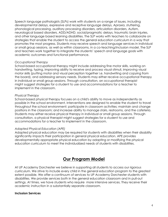Speech language pathologists (SLPs) work with students on a range of issues, including developmental delays, expressive and receptive language delays, Apraxia, stuttering, phonological processing, auditory processing disorders, articulation disorders, Autism, neurological based disorders, ADD/ADHD, social/pragmatic delays, traumatic brain injuries, and other language based learning disabilities. The SLP works with teachers to collaborate on strategies that enable the student to access the general education curriculum in a way that promotes the most progress. Students may receive speech and language services in individual or small group sessions, as well as within classrooms, in a co-teaching/inclusion model. The SLP and teachers work together to integrate the students' speech and language goals with academic outcomes and functional performance.

#### *Occupational Therapy*

School-based occupational therapy might include addressing fine motor skills, working on handwriting, typing, improving ability to receive and process visual stimuli, improving visual motor skills (putting motor and visual perception together i.e. handwriting and copying from the board), and addressing sensory needs. Students may either receive occupational therapy in individual or small group sessions. Through consultation, an occupational therapist might suggest strategies for a student to use and accommodations for a teacher to implement in the classroom.

### *Physical Therapy*

School-based physical therapy focuses on a child's ability to move as independently as possible in the school environment. Interventions are designed to enable the student to travel throughout the school environment; participate in classroom activities; maintain and change positions in the classroom; and increase ability to manage stairs, restrooms, and the cafeteria. Students may either receive physical therapy in individual or small group sessions. Through consultation, a physical therapist might suggest strategies for a student to use and accommodations for a teacher to implement in the classroom.

### *Adapted Physical Education (APE)*

Adapted physical education may be required for students with disabilities when their disability significantly impacts their participation in general physical education. APE provides developmentally appropriate physical education by adapting or modifying the physical education curriculum to meet the individualized needs of students with disabilities.

# **Our Program Model**

At UP Academy Dorchester we believe in supporting all students to access our rigorous curriculum. We strive to include every child in the general education program to the greatest extent possible. We offer a continuum of services to UP Academy Dorchester students with disabilities. We provide services both in the general education classroom and in pull-out settings. At times, we have students who require more intensive services. They receive their academic instruction in a substantially separate classroom.

#### **Inclusion Services**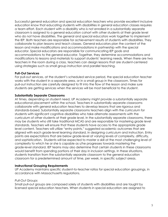Successful general education and special education teachers who provide excellent inclusive education know that educating students with disabilities in general education classes requires a team effort. Each student with a disability who is not enrolled in a substantially separate classroom is assigned to a general education cohort with other students at their grade level who do not have disabilities. The general and special educators work together to implement the IEP. Both teachers are responsible for achievement results of students with disabilities. They collaborate to plan lessons and teach classes. General educators plan the content of the lesson and make modifications and accommodations in partnership with the special educator. Special educators are responsible for communicating IEP goals and accommodations to the general educator. Together, they determine accommodations and modifications to lessons and materials to support students' learning needs. When there are two teachers in the room during a class, teachers can design lessons that are student-centered using strategies such as small group instruction and parallel teaching.

# **Pull-Out Services**

For pull-out services, at the student's scheduled service period, the special education teacher works with the student in a separate area, or in a small group in the classroom. Times for pull-out instruction are carefully designed to fit into the flow of the lesson and make sure students are getting services when the services will be most beneficial to the student.

# **Substantially Separate Classrooms**

At times, depending on student need, UP Academy might provide a substantially separate educational placement within the school. Teachers in substantially separate classrooms collaborate with general education teachers to develop lessons that are rigorous and standards-based. Substantially separate classrooms teachers align with the curriculum for students with significant cognitive disabilities who take alternate assessments with the curriculum of other students at their grade level. In the substantially separate classrooms, there may be students who still take traditional MCAS and are responsible for mastering grade level standards. Teachers will ensure that these students have access to the appropriate grade level content. Teachers will utilize "entry points," suggested academic outcomes that are aligned with each grade-level learning standard, in designing curriculum and instruction. Entry points are expectations that are below grade-level at varying levels of complexity, difficulty, and sophistication. Students will be expected to master a skill at the most challenging level of complexity to which he or she is capable as s/he progresses towards mastering the grade-level standard. IEP teams may also determine that certain students in these classrooms would benefit from spending portions of their day in inclusion settings. In these situations, students transition from the substantially separate classroom to the general education classroom for a predetermined amount of time, per week, in specific subject areas.

### **Instructional Grouping Requirements**

UP Academy maintains specific student-to-teacher ratios for special education groupings, in accordance with Massachusetts regulations.

### *Pull-Out Groups*

Small pull-out groups are composed solely of students with disabilities and are taught by licensed special education teachers. When students in special education are assigned to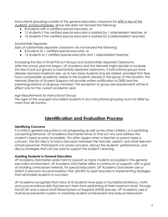instructional groupings outside of the general education classroom for 60% or less of the students' school schedules, group size does not exceed the following:

- 8 students with a certified special educator, or
- 12 students if the certified special educator is assisted by 1 aide/resident teacher, or
- 16 students if the certified special educator is assisted by 2 aides/resident teachers.

#### *Substantially Separate*

Sizes of substantially separate classrooms do not exceed the following:

- 8 students to 1 certified special educator, or
- 12 students to 1 certified special educator and 1 aide/resident teacher.

*Increasing the Size of Small Pull-out Groups and Substantially Separate Classrooms* After the school year has begun, UP Academy and the Network might decide to increase the size of pull-out groups or substantially separate classrooms. If instructional groups have already reached maximum size, up to two more students may be added, provided that they have comparable academic needs to the students already in the group. In this situation, the Network Director of Student Supports will provide written notification to DESE and the parents/guardians of all group members. This exception to group size requirements will be in effect only for the current academic year.

#### *Age Requirements for Instructional Groups*

The ages of the youngest and oldest students in any instructional grouping must not differ by more than 48 months.

# **Identification and Evaluation Process**

### **Identifying Concerns**

If a child in general education is not progressing as well as the other children, or is exhibiting concerning behavior, UP Academy Dorchester strives to find out why and address the student's need as early as possible. This often begins when a teacher or parent raises a concern. The first step is to hold a discussion between the teacher, parent, and other relevant school personnel. Participants can share concerns, discuss the students' performance, and discuss strategies that can be used to support the student's learning.

#### **Assisting Students in General Education**

UP Academy Dorchester works hard to support as many students as possible in the general education environment. UP Academy Dorchester offers a continuum of supports, with a goal of avoiding unnecessary referrals, for special education. UP Academy Dorchester uses a District Curriculum Accommodation Plan (DCAP) to assist teachers in implementing strategies that will enable students to succeed.

UP Academy recognizes that many of its students have gaps in foundational literacy, math, and socio-emotional skills that prevent them from performing at their maximum level. Through the DCAP and a robust Multi-Tiered System of Supports (MTSS) process, UP Academy uses a multi-level prevention system to maximize student achievement and reduce behavioral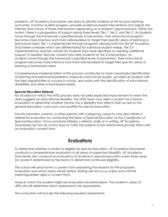problems. UP Academy Dorchester uses data to identify students at risk for poor learning outcomes, monitors student progress, provides evidence-based interventions and adjusts the intensity and nature of those interventions depending on a student's responsiveness. Within this system, there is a progression of support along three levels: Tier 1, Tier 2, and Tier 3. As students move through the framework's specified levels of prevention, their instructional program becomes more intensive and more individualized to target their specific areas of learning or behavioral need. Tier 1 is implemented through programs already built into the UP Academy Dorchester schedule which are differentiated for individual student needs. Tier 2 is implemented by teacher cohorts for students they have identified as needing additional support. If needed, teacher cohorts may refer students for Tier 3 interventions. As students move through the framework's specified levels of prevention, their instructional program becomes more intensive and more individualized to target their specific areas of learning or behavioral need.

Comprehensive implementation of this process contributes to more meaningful identification of learning and behavioral problems, improves instructional quality, provides all students with the best opportunities to success in school, and assists with the identification of educational disabilities and other school-based needs.

#### **Special Education Referral**

For situations in which the MTSS process does not yield expected improvement or when the data suggests an educational disability, the MTSS team may refer a student for a formal evaluation to determine whether he/she has a disability that affects their access to the general education curriculum and qualifies for special education.

Faculty members, parents, or other persons with caregiving capacity may also initiate a referral for evaluation by contacting the Dean of Special Education or the Coordinator of Special Education. Once someone initiates a referral, orally or in writing, UP Academy Dorchester has five (5) school days to notify the parents of the referral and provide them with an evaluation consent form.

# **Evaluations**

To determine whether a student is eligible for special education, UP Academy Dorchester conducts a comprehensive evaluation in all areas of suspected disability. UP Academy Dorchester also conducts re-evaluations of students in special education every three years (or sooner if determined by the team) to determine continued eligibility.

The school will send home a consent form explaining the reasons for the proposed evaluation and which areas will be tested. Testing will not occur unless and until the parent/guardian signs a consent form.

Areas in which the student might be evaluated are listed below. The student's areas of difficulty will determine which assessments are appropriate.

The evaluation will include the following required assessments: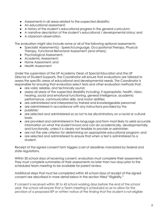- Assessments in all areas related to the suspected disability;
- An educational assessment:
- **●** A history of the student's educational progress in the general curriculum;
- **●** A narrative description of the student's educational / developmental status; and
- **●** A classroom observation.

The evaluation might also include some or all of the following optional assessments:

- Specialist Assessment(s) Speech/Language, Occupational Therapy, Physical Therapy, Functional Behavioral Assessment (and others);
- Psychological Assessment;
- Academic Assessment;
- Home Assessment; and
- **●** Health Assessment

Under the supervision of the UP Academy Dean of Special Education and the UP Director of Student Supports, the Coordinator will ensure that evaluations are tailored to assess the specific areas of educational and developmental needs. The Coordinator is responsible for ensuring that evaluators select tests and other evaluation methods that:

- are valid, reliable, and technically sound;
- assess all areas of the suspected disability including, if appropriate, health, vision, hearing, social and emotional functioning, general intelligence, academic performance, communication skills, and motor abilities;
- are administered and interpreted by trained and knowledgeable personnel;
- are administered in accordance with any instructions provided by the
- publisher;
- are selected and administered so as not to be discriminatory on a racial or cultural basis;
- are provided and administered in the language and form most likely to yield accurate information on what the student knows and can do academically, developmentally, and functionally, unless it is clearly not feasible to provide or administer;
- are not the sole criterion for determining an appropriate educational program; and
- are selected and administered to ensure that when a test is administered to a student.

Receipt of the signed consent form triggers a set of deadlines mandated by federal and state regulations.

Within 30 school days of receiving consent, evaluators must complete their assessments. They must complete summaries of their assessments no later than two days prior to the scheduled team meeting to be available for parent review.

Additional steps that must be completed within 45 school days of receipt of the signed consent are described in more detail below in the section titled "Eligibility."

If consent is received within 30 to 45 school working days before the end of the school year, the school will ensure that a Team meeting is scheduled so as to allow for the provision of a proposed IEP or written notice of the finding that the student is not eligible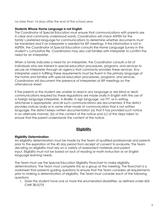no later than 14 days after the end of the school year.

#### **Students Whose Home Language is not English**

The Coordinator of Special Education must ensure that communications with parents are in clear and commonly understood words. Coordinators will check ASPEN for the family's preferred language for communications to determine whether documents must be translated and if an interpreter is needed for IEP meetings. If this information is not in ASPEN, the Coordinator of Special Education consults the Home Language Survey in the student's cumulative file. Coordinators may also call families with interpreter to confirm the need for an interpreter.

When a family indicates a need for an interpreter, the Coordinator consults a list of individuals who are trained in special education procedures, programs, and services to secure an interpreter through an agency that commonly provides these services. Any interpreter used in fulfilling these requirements must be fluent in the primary language of the home and familiar with special education procedures, programs, and services. Coordinators will document the presence of interpreters at IEP meetings on the attendance sheet.

If the parents or the student are unable to read in any language or are blind or deaf, communications required by these regulations are made orally in English with the use of a foreign language interpreter, in Braille, in sign language, via TTY, or in writing, whichever is appropriate, and all such communications are documented. If the district provides notices orally or in some other mode of communication that is not written language, the district keeps written documentation (a) that it has provided such notice in an alternate manner, (b) of the content of the notice and (c) of the steps taken to ensure that the parent understands the content of the notice.

# **Eligibility**

#### **Eligibility Determination**

An eligibility determination must be made by the Team of qualified professionals and parents prior to the expiration of the 45 day period from receipt of consent to evaluate. The Team deciding on eligibility must rely on a variety of assessment materials and parent input. Eligibility must not be based on lack of reading or math instruction or on English language learning needs.

The Team must use the Special Education Eligibility Flowchart to make eligibility determinations. The Team must complete this as a group at the meeting. The flowchart is a worksheet that presents guiding questions to ensure that the Team considers all requirements prior to making a determination of eligibility. The Team must consider each of the following questions:

1. Does the student have one or more the enumerated disabilities, as defined under 603 CMR 28.0(7)?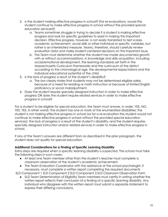- 2. Is the student making effective progress in school? (For re-evaluations, would the student continue to make effective progress in school without the provided special education services?)
	- a. Teams sometimes struggle in trying to decide if a student is making effective progress and look for specific guidelines to assist in making this important decision. Effective progress, however, is not easily translated to test scores, academic achievement, social skills or other individual or specific variables, but rather is an interrelated measure. Teams, therefore, should carefully review evaluation data and make student-centered decisions on this important issue.
	- b. The Team must determine whether the student has made documented growth with or without accommodations, in knowledge and skills acquisition, including social/emotional development, the learning standards set forth in the Massachusetts Curriculum Frameworks and the curriculum of the district according to the chronological age, the developmental expectations and the individual educational potential of the child.
- 3. Is the lack of progress a result of the student's disability?
	- a. The law clearly states that students may not be determined eligible solely because of a need for reading or math instruction or because of limited English proficiency or social maladjustment.
- 4. Does the student require specially designed instruction in order to make effective progress OR does the student require related services in order to make effective progress in school?

For a student to be eligible for special education, the Team must answer, in order: YES, NO, YES, YES. In other words: The student has one or more of the enumerated disabilities; the student is not making effective progress in school (or for a re-evaluation the student would not continue to make effective progress in school without the provided special education services); the lack of progress is a result of the student's disability; and the student requires specially designed instruction and/or related services in order to make effective progress in school.

If any of the Team's answers are different from as described in the prior paragraph, the student does not qualify for special education.

# **Additional Considerations for a Finding of Specific Learning Disability**

Extra steps are required when a specific learning disability is suspected. The school must take the following steps in such cases:

- At least one Team member other than the student's teacher must complete a classroom observation of the student's academic achievement.
- The Team Evaluation Coordinator with the assistance of the school psychologist, if necessary, must complete a written report completing the required documents

SLD Component 1 SLD Component 2 SLD Component 3 SLD Classroom Observation Form

• SLD Team Determination of Eligibility Team members must certify in writing whether the written report reflects their conclusion of a finding of a specific learning disability. Any individual who disagrees with the written report must submit a separate statement to express their differing conclusions.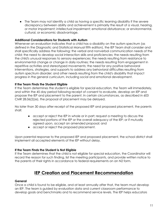● The Team may not identify a child as having a specific learning disability if the severe discrepancy between ability and achievement is primarily the result of a visual, hearing, or motor impairment; intellectual impairment; emotional disturbance; or environmental, cultural, or economic disadvantage.

### **Additional Considerations for Students with Autism**

Whenever an evaluation indicates that a child has a disability on the autism spectrum (as defined in the Diagnostic and Statistical Manual fifth edition), the IEP Team shall consider and shall specifically address the following: the verbal and nonverbal communication needs of the child; the need to develop social interaction skills and proficiencies; the needs resulting from the child's unusual responses to sensory experiences; the needs resulting from resistance to environmental change or change in daily routines; the needs resulting from engagement in repetitive activities and stereotyped movements; the need for any positive behavioral interventions, strategies, and supports to address any behavioral difficulties resulting from autism spectrum disorder; and other needs resulting from the child's disability that impact progress in the general curriculum, including social and emotional development.

# **If the Team Finds the Student Eligible**

If the Team determines the student is eligible for special education, the Team will immediately, and within the 45 day period following receipt of consent to evaluate, develop an IEP and propose the IEP and placement to the parent. In certain circumstances, as described in 603 CMR 28.06(2)(e), the proposal of placement may be delayed.

No later than 30 days after receipt of the proposed IEP and proposed placement, the parents shall:

- accept or reject the IEP in whole or in part; request a meeting to discuss the rejected portions of the IEP or the overall adequacy of the IEP; or if mutually agreed upon, accept an amended proposal; and
- accept or reject the proposed placement.

Upon parental response to the proposed IEP and proposed placement, the school district shall implement all accepted elements of the IEP without delay.

### **If the Team Finds the Student is Not Eligible**

If the Team determines that the child is not eligible for special education, the Coordinator will record the reason for such finding, list the meeting participants, and provide written notice to the parents of their rights in accordance to federal requirements on an N2 form.

# **IEP Creation and Placement Recommendation**

### **General**

Once a child is found to be eligible, and at least annually after that, the team must develop an IEP. The team is guided by evaluation data and current classroom performance to develop goals and benchmarks and to recommend service levels. The IEP helps educators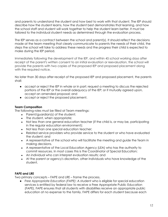and parents to understand the student and how best to work with that student. The IEP should describe how the student learns, how the student best demonstrates that learning, and how the school staff and student will work together to help the student learn better. It must be tailored to the individual student needs as determined through the evaluation process.

The IEP serves as a contract between the school and parent(s). It should reflect the decisions made at the team meeting that clearly communicate to parents the needs of their child, the steps the school will take to address these needs and the progress their child is expected to make during the IEP period.

Immediately following the development of the IEP, and within 45 school working days after receipt of the parent's written consent to an initial evaluation or reevaluation, the school will provide the parents with two copies of the proposed IEP and proposed placement along with the required notice.

No later than 30 days after receipt of the proposed IEP and proposed placement, the parents shall:

- accept or reject the IEP in whole or in part; request a meeting to discuss the rejected portions of the IEP or the overall adequacy of the IEP; or if mutually agreed upon, accept an amended proposal; and
- accept or reject the proposed placement.

# **Team Composition**

The following roles must be filled at Team meetings:

- Parent/guardian(s) of the student;
- The student, when appropriate;
- Not less than one general education teacher (if the child is, or may be, participating in the regular education environment);
- Not less than one special education teacher;
- Related service providers who provide service to the student or who have evaluated the student; and
- A representative of the school who will facilitate the meeting and guide the Team in making decisions.
- A representative of the Local Education Agency (LEA) who has the authority to commit resources. In most cases this is the Coordinator of Special Education;
- An individual who can interpret evaluation results; and
- At the parent or agency's discretion, other individuals who have knowledge of the student.

# **FAPE and LRE**

Two primary concepts – FAPE and LRE – frame the process.

● *Free Appropriate Education (FAPE)*: A student who is eligible for special education services is entitled by federal law to receive a Free Appropriate Public Education (FAPE). FAPE ensures that all students with disabilities receive an appropriate public education at no expense to the family. FAPE differs for each student because each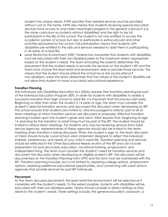student has unique needs. FAPE specifies that needed services must be provided without cost to the family. FAPE also means that students receiving special education services have access to and make meaningful progress in the general curriculum (i.e. the same curriculum as students without disabilities) and the right to be full participants in the life of the school. The student is not only entitled to access the academic portion of school, but also to participate in extracurricular and other activities sponsored by the school. Full participation means that students with disabilities are entitled to the aids and services needed to assist them in participating in all areas of school life.

● *Least Restrictive Environment (LRE)*: Federal law mandates that students with disabilities must be educated with their non-disabled peers to the maximum extent appropriate based on the student's needs. The team (including the parent) determines the placement that the student needs to provide the services on the student's IEP and the team must choose the least restrictive environment able to provide those services. This means that the student should attend the school he or she would attend if non-disabled, unless the team determines that the nature of the student's disability will not allow that student to have a successful educational experience.

#### **Transition Planning**

The Individuals with Disabilities Education Act (IDEA) requires that transition planning be part of the Individual Education Program (IEP). In order for students with disabilities to realize a successful transition from high school to adult life, it is important that this process start early. Beginning no later than when the student is 14 years of age, the team must consider the student's need for transition services and document the discussion when developing an IEP. The school ensures that students are invited to, and encouraged to attend, part or all of team meetings at which transition services are discussed or proposed. Effective transition planning is based upon the student's goals and vision. IDEA requires that, beginning at age 14, planning for the transition to adult living must be part of the IEP. The student should be invited to attend team meetings. For students who may be receiving services from adult service agencies, representatives of these agencies should also be invited to the team meeting when transition is being discussed. When the student is age 16, the team discussion of Vision should include a post-school vision statement designed to reflect the individual interests, preferences, and needs of your child in adult life. Transition planning and services should be reflected in the Other Educational Needs section of the IEP and can include preparation for post-secondary education, vocational training, employment, and independent living. The team must consider the student's need for transition services and document the discussion when developing an eligible student's IEP. The discussion will be documented on the Transition Planning Form (TPF) and this form must be maintained with the IEP. Transition planning includes, but is not limited to, exploring college options, employment options, exploring additional educational opportunities, and connecting with adult service agencies that provide services for post-IEP individuals.

#### **Placement**

As the Team discusses placement, the least restrictive environment will be selected as it correlates with the student's needs. To the extent possible, students with disabilities will be educated with their non-disabled peers. Teams should consider in-district settings as they relate to the student's needs. These settings include, the general education classroom, a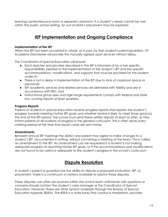learning center/resource room or separate classroom. If a student's needs cannot be met within the public school setting, an out-of-district placement may be explored.

# **IEP Implementation and Ongoing Compliance**

### **Implementation of the IEP**

When the IEP has been accepted in whole, or in part, by that student's parent/guardian, UP Academy Dorchester will provide the mutually agreed upon services without delay.

The Coordinator of Special Education will ensure:

- Each teacher and provider described in the IEP is informed of his or her specific responsibilities (related to the implementation of the student's IEP and the specific accommodations, modifications, and supports that must be provided for the student under it);
- There is not a delay in implementation of the IEP due to lack of classroom space or personnel;
- IEP academic services and related services are delivered with fidelity and are in accordance with IEPs; and
- Instructional group sizes and age-range requirements comply with federal and state law, running reports at least quarterly.

#### **Progress Reports**

Parents of students in special education receive progress reports that explain the student's progress towards meeting his/her IEP goals and whether he/she is likely to meet those goals by the end of the IEP period. The school must send these written reports at least as often as they inform parents of all students of progress in the general curriculum. This is often done every marking period at the time that report cards are sent home.

#### **Amendments**

Between annual IEP meetings the district and parent may agree to make changes to a student's IEP, documented in writing, without convening a meeting of the team. This is called an amendment to the IEP. An amendment can be requested if a student is not making adequate progress on reaching his/her IEP goals, or if the accommodations and modifications are not found to be useful or adequate to the student's progress in the school's curriculum.

# **Dispute Resolution**

A student's parent or guardian has the ability to dispute a proposed evaluation, IEP, or placement. There is a continuum of options available to resolve these disputes.

These disputes can often be resolved within the school team. Individuals with questions or concerns should contact the student's case manager or the Coordinator of Special Education. However, there are other options available through the Bureau of Special Education Appeals (BSEA). The BSEA is a state body that conducts mediations, provides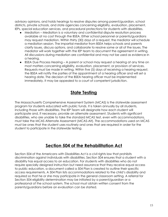advisory opinions, and holds hearings to resolve disputes among parent/guardian, school districts, private schools, and state agencies concerning eligibility, evaluation, placement, IEPs, special education services, and procedural protections for students with disabilities.

- Mediation Mediation is a voluntary and confidential dispute resolution process available at no cost through the BSEA. Either school personnel or parents/guardians may request mediation. Within thirty (30) days of a request, the mediator will schedule a mediation session. The impartial mediator from BSEA helps schools and parents clarify issues, discuss options, and collaborate to resolve some or all of the issues. The mediator will work together with the IEP team to document the agreement in writing. All discussions during mediation are confidential and may not be used as evidence in a hearing.
- BSEA Due Process Hearing A parent or school may request a hearing at any time on most matters concerning eligibility, evaluation, placement, or provision of services. Requests must be made in writing. Within five (5) days of receiving a hearing request, the BSEA will notify the parties of the appointment of a hearing officer and will set a hearing date. The decision of the BSEA hearing officer must be implemented immediately. It may be appealed to a court of competent jurisdiction.

# **State Testing**

The Massachusetts Comprehensive Assessment System (MCAS) is the statewide assessment program for students educated with public funds. It is taken annually by all students, including those with disabilities. The IEP Team will designate how each student will participate and, if necessary, provide an alternate assessment. Students with significant disabilities, who are unable to take the standard MCAS test, even with accommodations, must take the MCAS Alternate Assessment (MCAS-Alt). The accommodations used on MCAS must be ones that the student uses routinely and ones that are required in order for the student to participate in the statewide testing.

# **Section 504 of the Rehabilitation Act**

Section 504 of the Americans with Disabilities Act is a civil rights law that prohibits discrimination against individuals with disabilities. Section 504 ensures that a student with a disability has equal access to an education. For students with disabilities who do not require specially designed instruction but need assurance that they receive equal access to public education, a document called a 504 Plan is created to outline their specific access requirements. A 504 Plan lists accommodations related to the child's disability and required so that he or she may participate in the general classroom setting. A referral for Section 504 eligibility determination may be initiated by a parent/guardian or a professional of the school system. The school must obtain written consent from the parents/guardians before an evaluation can be started.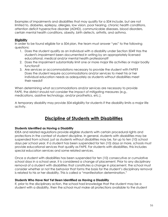Examples of impairments and disabilities that may qualify for a 504 include, but are not limited to, diabetes, epilepsy, allergies, low vision, poor hearing, chronic health conditions, attention deficit hyperactive disorder (ADHD), communicable diseases, blood disorders, certain mental health conditions, obesity, birth defects, arthritis, and asthma.

# **Eligibility**

In order to be found eligible for a 504 plan, the team must answer "yes" to the following questions:

- 1. Does the student qualify as an individual with a disability under Section 504? Has the student's impairment been documented in writing by an appropriately licensed educational, medical and/or mental health professional?
- 2. Does the impairment substantially limit one or more major life activities or major bodily functions?
- 3. Are services or accommodations necessary to provide the student with FAPE? Does the student require accommodations and/or services to meet his or her individual education needs as adequately as students without disabilities meet their needs?

When determining what accommodations and/or services are necessary to provide FAPE, the district should not consider the impact of mitigating measures (e.g., medications, assistive technology, and/or prosthetics, etc.).

A temporary disability may provide 504 eligibility for students if the disability limits a major life activity.

# **Discipline of Students with Disabilities**

# **Students Identified as Having a Disability**

IDEA and related regulations provide eligible students with certain procedural rights and protections in the context of student discipline. In general, students with disabilities may be suspended from school, just as students without disabilities may be, for up to ten (10) school days per school year. If a student has been suspended for ten (10) days or more, schools must provide educational services that qualify as FAPE. For students with disabilities, this includes special education services and some related services.

Once a student with disabilities has been suspended for ten (10) consecutive or cumulative school days in a school year, it is considered a change of placement. Prior to any disciplinary removal of a student with disabilities that constitutes a change in placement, the school must consider whether or not the behavior that forms the basis for the student's disciplinary removal is related to his or her disability. This is called a "manifestation determination."

### **Students Who Have Not Yet Been Identified as Having a Disability**

If, prior to the disciplinary action, the school had knowledge that the student may be a student with a disability, then the school must make all protections available to the student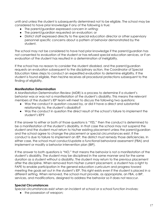until and unless the student is subsequently determined not to be eligible. The school may be considered to have prior knowledge if any of the following is true:

- The parent/guardian expressed concern in writing;
- The parent/guardian requested an evaluation; or
- District staff expressed directly to the special education director or other supervisory personnel specific concerns about a pattern of behavior demonstrated by the student.

The school may not be considered to have had prior knowledge if the parent/guardian has not consented to evaluation of the student or has refused special education services, or if an evaluation of the student has resulted in a determination of ineligibility.

If the school has no reason to consider the student disabled, and the parent/guardian requests an evaluation subsequent to the disciplinary action, the Coordinator of Special Education takes steps to conduct an expedited evaluation to determine eligibility. If the student is found eligible, then he/she receives all procedural protections subsequent to the finding of eligibility.

# **Manifestation Determination**

A Manifestation Determination Review (MDR) is a process to determine if a student's behavior was or was not a manifestation of the student's disability. This means the relevant members of the student's IEP team will meet to discuss the following two questions:

- Was the conduct in question caused by, or did it have a direct and substantial relationship to, the student's disability?
- Was the conduct in question the direct result of the school's failure to implement the student's IEP?

If the answer to either or both of those questions is "YES," then the conduct is determined to be a manifestation of the student's disability. In that case the school may not suspend the student and the student must return to his/her existing placement unless the parent/guardian and the school agree to change the placement or special circumstances exist. If the conduct is due to failure to implement an IEP, the district must remedy those deficiencies. In either case, the school must conduct/update a functional behavioral assessment (FBA) and implement or modify a behavior intervention plan (BIP).

If the answer to both questions is "NO," that means the behavior is not a manifestation of the student's disability. The student may be disciplined in the same manner and for the same duration as a student without a disability. The student may return to the previous placement after the discipline. When removed from his/her current placement, a student has a right to FAPE to enable participation in the general education curriculum and progress toward meeting the goals set out in the student's IEP. This right exists even if the student is placed in a different setting. When removed, the school must provide, as appropriate, an FBA, a BIP, services, and modifications, designed to address the behavior so it does not reoccur.

### **Special Circumstances**

Special circumstances exist when an incident at school or a school function involves:

• the possession of weapon;